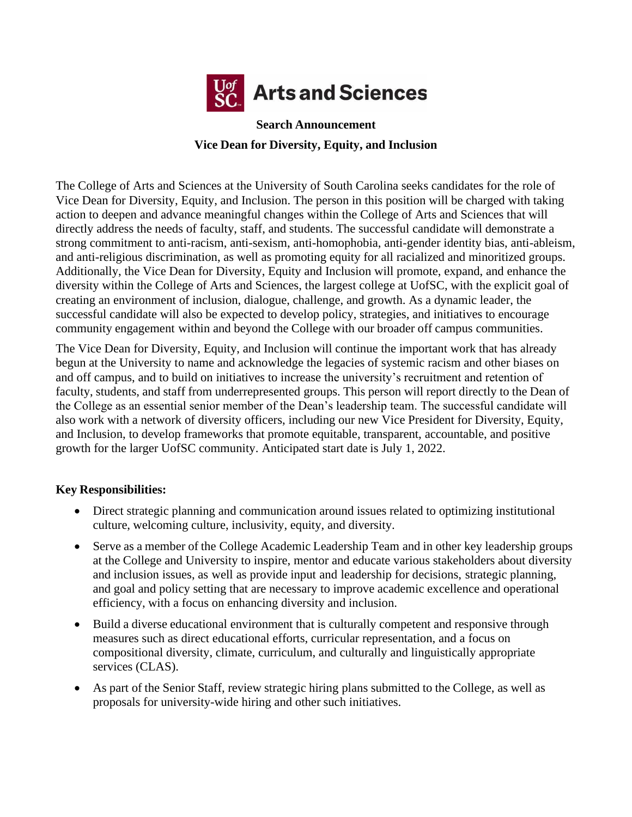

# **Search Announcement Vice Dean for Diversity, Equity, and Inclusion**

The College of Arts and Sciences at the University of South Carolina seeks candidates for the role of Vice Dean for Diversity, Equity, and Inclusion. The person in this position will be charged with taking action to deepen and advance meaningful changes within the College of Arts and Sciences that will directly address the needs of faculty, staff, and students. The successful candidate will demonstrate a strong commitment to anti-racism, anti-sexism, anti-homophobia, anti-gender identity bias, anti-ableism, and anti-religious discrimination, as well as promoting equity for all racialized and minoritized groups. Additionally, the Vice Dean for Diversity, Equity and Inclusion will promote, expand, and enhance the diversity within the College of Arts and Sciences, the largest college at UofSC, with the explicit goal of creating an environment of inclusion, dialogue, challenge, and growth. As a dynamic leader, the successful candidate will also be expected to develop policy, strategies, and initiatives to encourage community engagement within and beyond the College with our broader off campus communities.

The Vice Dean for Diversity, Equity, and Inclusion will continue the important work that has already begun at the University to name and acknowledge the legacies of systemic racism and other biases on and off campus, and to build on initiatives to increase the university's recruitment and retention of faculty, students, and staff from underrepresented groups. This person will report directly to the Dean of the College as an essential senior member of the Dean's leadership team. The successful candidate will also work with a network of diversity officers, including our new Vice President for Diversity, Equity, and Inclusion, to develop frameworks that promote equitable, transparent, accountable, and positive growth for the larger UofSC community. Anticipated start date is July 1, 2022.

## **Key Responsibilities:**

- Direct strategic planning and communication around issues related to optimizing institutional culture, welcoming culture, inclusivity, equity, and diversity.
- Serve as a member of the College Academic Leadership Team and in other key leadership groups at the College and University to inspire, mentor and educate various stakeholders about diversity and inclusion issues, as well as provide input and leadership for decisions, strategic planning, and goal and policy setting that are necessary to improve academic excellence and operational efficiency, with a focus on enhancing diversity and inclusion.
- Build a diverse educational environment that is culturally competent and responsive through measures such as direct educational efforts, curricular representation, and a focus on compositional diversity, climate, curriculum, and culturally and linguistically appropriate services (CLAS).
- As part of the Senior Staff, review strategic hiring plans submitted to the College, as well as proposals for university-wide hiring and other such initiatives.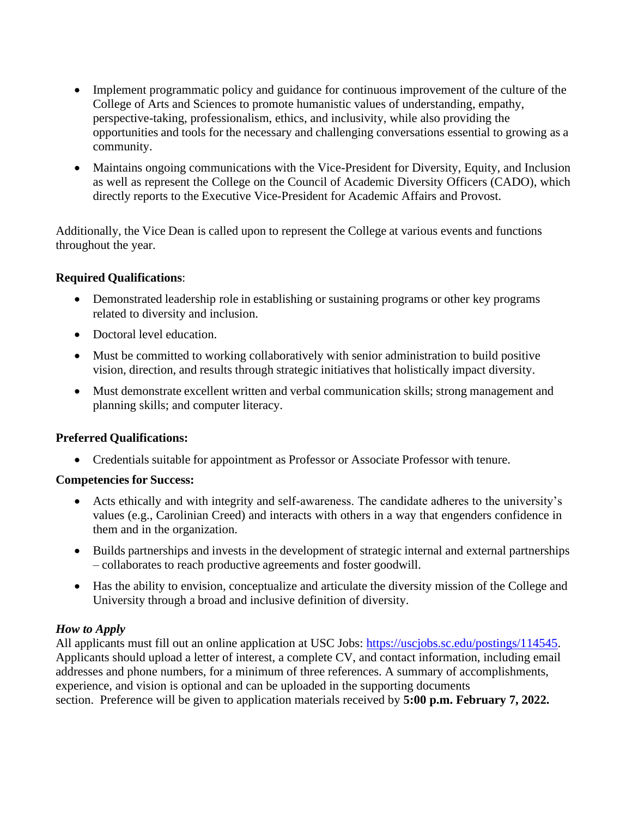- Implement programmatic policy and guidance for continuous improvement of the culture of the College of Arts and Sciences to promote humanistic values of understanding, empathy, perspective-taking, professionalism, ethics, and inclusivity, while also providing the opportunities and tools for the necessary and challenging conversations essential to growing as a community.
- Maintains ongoing communications with the Vice-President for Diversity, Equity, and Inclusion as well as represent the College on the Council of Academic Diversity Officers (CADO), which directly reports to the Executive Vice-President for Academic Affairs and Provost.

Additionally, the Vice Dean is called upon to represent the College at various events and functions throughout the year.

### **Required Qualifications**:

- Demonstrated leadership role in establishing or sustaining programs or other key programs related to diversity and inclusion.
- Doctoral level education.
- Must be committed to working collaboratively with senior administration to build positive vision, direction, and results through strategic initiatives that holistically impact diversity.
- Must demonstrate excellent written and verbal communication skills; strong management and planning skills; and computer literacy.

## **Preferred Qualifications:**

• Credentials suitable for appointment as Professor or Associate Professor with tenure.

### **Competencies for Success:**

- Acts ethically and with integrity and self-awareness. The candidate adheres to the university's values (e.g., Carolinian Creed) and interacts with others in a way that engenders confidence in them and in the organization.
- Builds partnerships and invests in the development of strategic internal and external partnerships – collaborates to reach productive agreements and foster goodwill.
- Has the ability to envision, conceptualize and articulate the diversity mission of the College and University through a broad and inclusive definition of diversity.

### *How to Apply*

All applicants must fill out an online application at USC Jobs: [https://uscjobs.sc.edu/postings/114545.](https://uscjobs.sc.edu/postings/114545) Applicants should upload a letter of interest, a complete CV, and contact information, including email addresses and phone numbers, for a minimum of three references. A summary of accomplishments, experience, and vision is optional and can be uploaded in the supporting documents section. Preference will be given to application materials received by **5:00 p.m. February 7, 2022.**